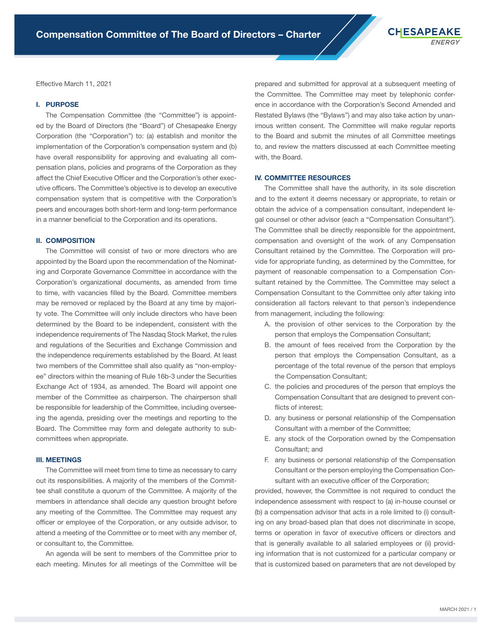Effective March 11, 2021

#### I. PURPOSE

The Compensation Committee (the "Committee") is appointed by the Board of Directors (the "Board") of Chesapeake Energy Corporation (the "Corporation") to: (a) establish and monitor the implementation of the Corporation's compensation system and (b) have overall responsibility for approving and evaluating all compensation plans, policies and programs of the Corporation as they affect the Chief Executive Officer and the Corporation's other executive officers. The Committee's objective is to develop an executive compensation system that is competitive with the Corporation's peers and encourages both short-term and long-term performance in a manner beneficial to the Corporation and its operations.

### II. COMPOSITION

The Committee will consist of two or more directors who are appointed by the Board upon the recommendation of the Nominating and Corporate Governance Committee in accordance with the Corporation's organizational documents, as amended from time to time, with vacancies filled by the Board. Committee members may be removed or replaced by the Board at any time by majority vote. The Committee will only include directors who have been determined by the Board to be independent, consistent with the independence requirements of The Nasdaq Stock Market, the rules and regulations of the Securities and Exchange Commission and the independence requirements established by the Board. At least two members of the Committee shall also qualify as "non-employee" directors within the meaning of Rule 16b-3 under the Securities Exchange Act of 1934, as amended. The Board will appoint one member of the Committee as chairperson. The chairperson shall be responsible for leadership of the Committee, including overseeing the agenda, presiding over the meetings and reporting to the Board. The Committee may form and delegate authority to subcommittees when appropriate.

## III. MEETINGS

The Committee will meet from time to time as necessary to carry out its responsibilities. A majority of the members of the Committee shall constitute a quorum of the Committee. A majority of the members in attendance shall decide any question brought before any meeting of the Committee. The Committee may request any officer or employee of the Corporation, or any outside advisor, to attend a meeting of the Committee or to meet with any member of, or consultant to, the Committee.

An agenda will be sent to members of the Committee prior to each meeting. Minutes for all meetings of the Committee will be

prepared and submitted for approval at a subsequent meeting of the Committee. The Committee may meet by telephonic conference in accordance with the Corporation's Second Amended and Restated Bylaws (the "Bylaws") and may also take action by unanimous written consent. The Committee will make regular reports to the Board and submit the minutes of all Committee meetings to, and review the matters discussed at each Committee meeting with, the Board.

# IV. COMMITTEE RESOURCES

The Committee shall have the authority, in its sole discretion and to the extent it deems necessary or appropriate, to retain or obtain the advice of a compensation consultant, independent legal counsel or other advisor (each a "Compensation Consultant"). The Committee shall be directly responsible for the appointment, compensation and oversight of the work of any Compensation Consultant retained by the Committee. The Corporation will provide for appropriate funding, as determined by the Committee, for payment of reasonable compensation to a Compensation Consultant retained by the Committee. The Committee may select a Compensation Consultant to the Committee only after taking into consideration all factors relevant to that person's independence from management, including the following:

- A. the provision of other services to the Corporation by the person that employs the Compensation Consultant;
- B. the amount of fees received from the Corporation by the person that employs the Compensation Consultant, as a percentage of the total revenue of the person that employs the Compensation Consultant;
- C. the policies and procedures of the person that employs the Compensation Consultant that are designed to prevent conflicts of interest;
- D. any business or personal relationship of the Compensation Consultant with a member of the Committee;
- E. any stock of the Corporation owned by the Compensation Consultant; and
- F. any business or personal relationship of the Compensation Consultant or the person employing the Compensation Consultant with an executive officer of the Corporation;

provided, however, the Committee is not required to conduct the independence assessment with respect to (a) in-house counsel or (b) a compensation advisor that acts in a role limited to (i) consulting on any broad-based plan that does not discriminate in scope, terms or operation in favor of executive officers or directors and that is generally available to all salaried employees or (ii) providing information that is not customized for a particular company or that is customized based on parameters that are not developed by